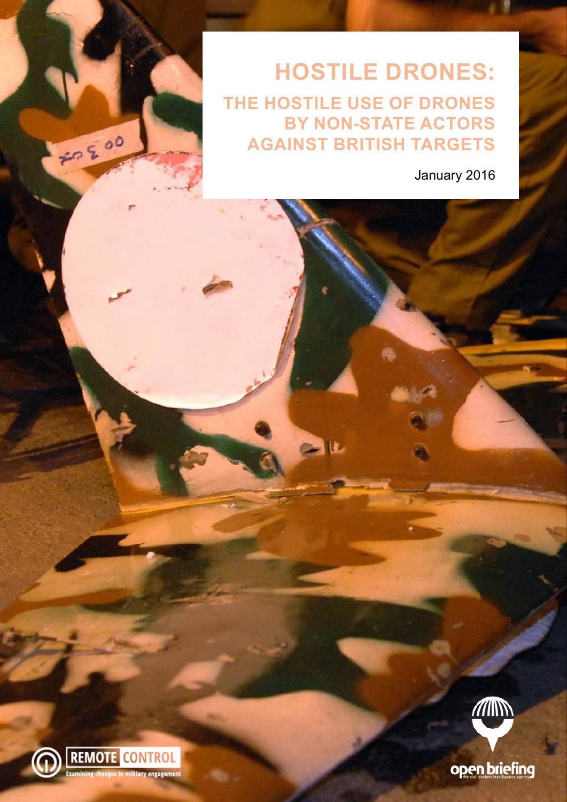**HOSTILE DRONES: THE HOSTILE USE OF DRONES BY NON-STATE ACTORS AGAINST BRITISH TARGETS**

 $L$ 

January 2016



70200



open briefing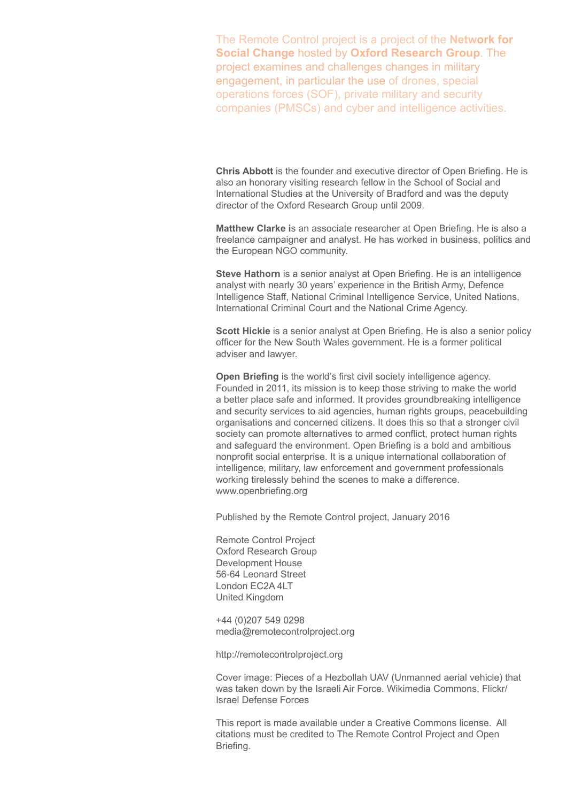The Remote Control project is a project of the **[Network for](http://thenetworkforsocialchange.org.uk/)  [Social Change](http://thenetworkforsocialchange.org.uk/)** hosted by **Oxford Research Group**. The project examines and challenges changes in military engagement, in particular the use of drones, special operations forces (SOF), private military and security companies (PMSCs) and cyber and intelligence activities.

**Chris Abbott** is the founder and executive director of Open Briefing. He is also an honorary visiting research fellow in the School of Social and International Studies at the University of Bradford and was the deputy director of the Oxford Research Group until 2009.

**Matthew Clarke i**s an associate researcher at Open Briefing. He is also a freelance campaigner and analyst. He has worked in business, politics and the European NGO community.

**Steve Hathorn** is a senior analyst at Open Briefing. He is an intelligence analyst with nearly 30 years' experience in the British Army, Defence Intelligence Staff, National Criminal Intelligence Service, United Nations, International Criminal Court and the National Crime Agency.

**Scott Hickie** is a senior analyst at Open Briefing. He is also a senior policy officer for the New South Wales government. He is a former political adviser and lawyer.

**Open Briefing** is the world's first civil society intelligence agency. Founded in 2011, its mission is to keep those striving to make the world a better place safe and informed. It provides groundbreaking intelligence and security services to aid agencies, human rights groups, peacebuilding organisations and concerned citizens. It does this so that a stronger civil society can promote alternatives to armed conflict, protect human rights and safeguard the environment. Open Briefing is a bold and ambitious nonprofit social enterprise. It is a unique international collaboration of intelligence, military, law enforcement and government professionals working tirelessly behind the scenes to make a difference. www.openbriefing.org

Published by the Remote Control project, January 2016

Remote Control Project Oxford Research Group Development House 56-64 Leonard Street London EC2A 4LT United Kingdom

+44 (0)207 549 0298 media@remotecontrolproject.org

http://remotecontrolproject.org

Cover image: Pieces of a Hezbollah UAV (Unmanned aerial vehicle) that was taken down by the Israeli Air Force. Wikimedia Commons, Flickr/ Israel Defense Forces

This report is made available under a Creative Commons license. All citations must be credited to The Remote Control Project and Open Briefing.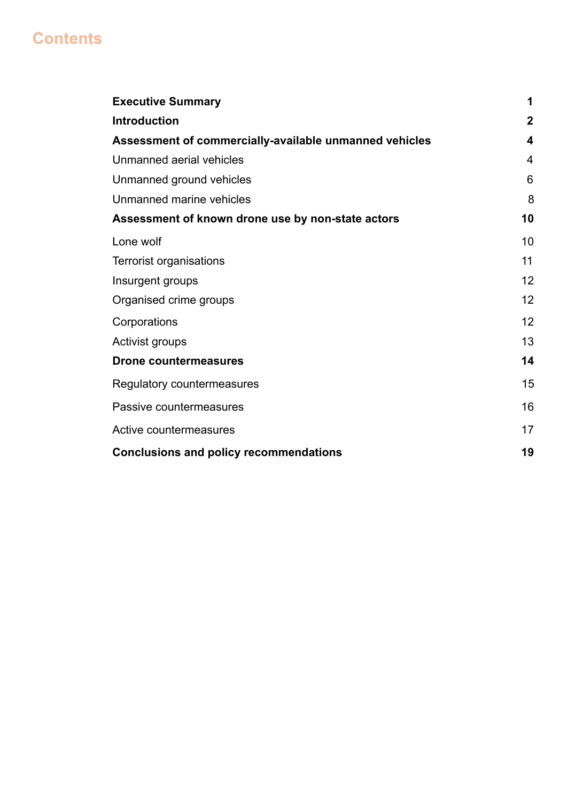# **Contents**

| <b>Executive Summary</b>                               | 1            |
|--------------------------------------------------------|--------------|
| <b>Introduction</b>                                    | $\mathbf{2}$ |
| Assessment of commercially-available unmanned vehicles | 4            |
| Unmanned aerial vehicles                               | 4            |
| Unmanned ground vehicles                               | 6            |
| Unmanned marine vehicles                               | 8            |
| Assessment of known drone use by non-state actors      | 10           |
| Lone wolf                                              | 10           |
| Terrorist organisations                                | 11           |
| Insurgent groups                                       | 12           |
| Organised crime groups                                 | 12           |
| Corporations                                           | 12           |
| Activist groups                                        | 13           |
| <b>Drone countermeasures</b>                           | 14           |
| Regulatory countermeasures                             | 15           |
| Passive countermeasures                                | 16           |
| Active countermeasures                                 | 17           |
| <b>Conclusions and policy recommendations</b>          | 19           |
|                                                        |              |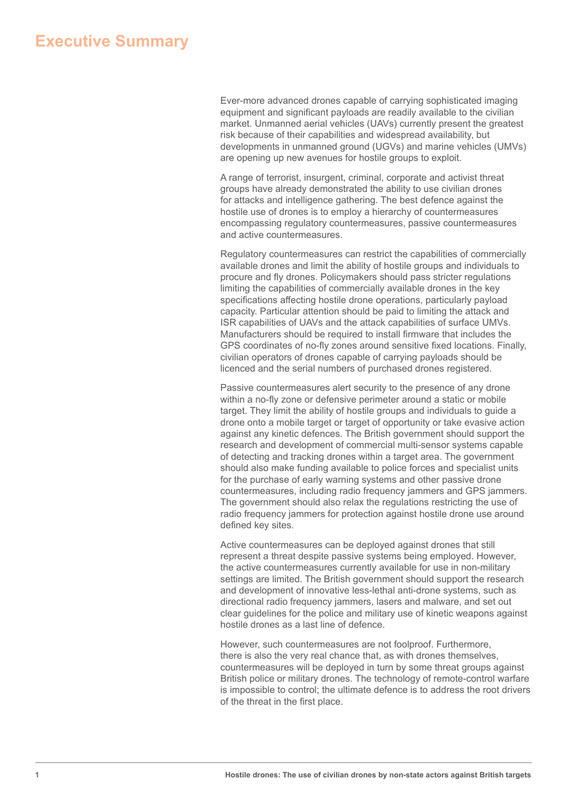# **Executive Summary**

Ever-more advanced drones capable of carrying sophisticated imaging equipment and significant payloads are readily available to the civilian market. Unmanned aerial vehicles (UAVs) currently present the greatest risk because of their capabilities and widespread availability, but developments in unmanned ground (UGVs) and marine vehicles (UMVs) are opening up new avenues for hostile groups to exploit.

A range of terrorist, insurgent, criminal, corporate and activist threat groups have already demonstrated the ability to use civilian drones for attacks and intelligence gathering. The best defence against the hostile use of drones is to employ a hierarchy of countermeasures encompassing regulatory countermeasures, passive countermeasures and active countermeasures.

Regulatory countermeasures can restrict the capabilities of commercially available drones and limit the ability of hostile groups and individuals to procure and fly drones. Policymakers should pass stricter regulations limiting the capabilities of commercially available drones in the key specifications affecting hostile drone operations, particularly payload capacity. Particular attention should be paid to limiting the attack and ISR capabilities of UAVs and the attack capabilities of surface UMVs. Manufacturers should be required to install firmware that includes the GPS coordinates of no-fly zones around sensitive fixed locations. Finally, civilian operators of drones capable of carrying payloads should be licenced and the serial numbers of purchased drones registered.

Passive countermeasures alert security to the presence of any drone within a no-fly zone or defensive perimeter around a static or mobile target. They limit the ability of hostile groups and individuals to guide a drone onto a mobile target or target of opportunity or take evasive action against any kinetic defences. The British government should support the research and development of commercial multi-sensor systems capable of detecting and tracking drones within a target area. The government should also make funding available to police forces and specialist units for the purchase of early warning systems and other passive drone countermeasures, including radio frequency jammers and GPS jammers. The government should also relax the regulations restricting the use of radio frequency jammers for protection against hostile drone use around defined key sites.

Active countermeasures can be deployed against drones that still represent a threat despite passive systems being employed. However, the active countermeasures currently available for use in non-military settings are limited. The British government should support the research and development of innovative less-lethal anti-drone systems, such as directional radio frequency jammers, lasers and malware, and set out clear guidelines for the police and military use of kinetic weapons against hostile drones as a last line of defence.

However, such countermeasures are not foolproof. Furthermore, there is also the very real chance that, as with drones themselves, countermeasures will be deployed in turn by some threat groups against British police or military drones. The technology of remote-control warfare is impossible to control; the ultimate defence is to address the root drivers of the threat in the first place.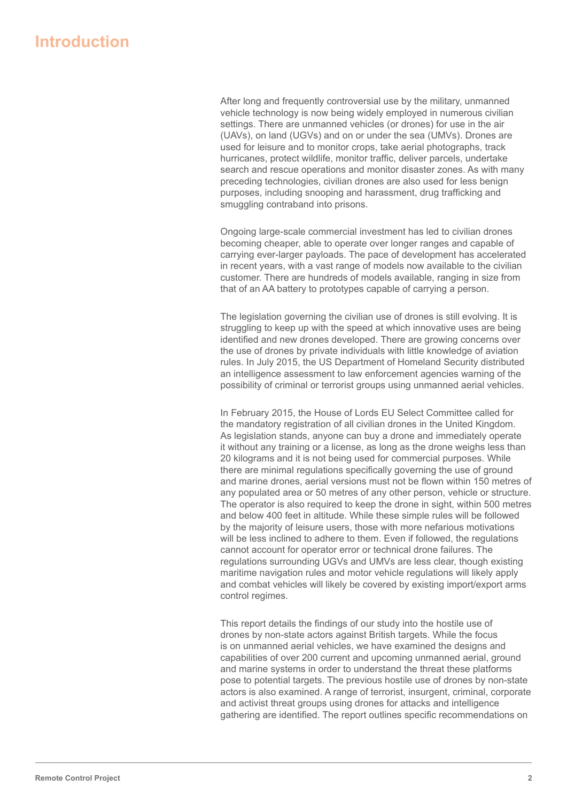# **Introduction**

After long and frequently controversial use by the military, unmanned vehicle technology is now being widely employed in numerous civilian settings. There are unmanned vehicles (or drones) for use in the air (UAVs), on land (UGVs) and on or under the sea (UMVs). Drones are used for leisure and to monitor crops, take aerial photographs, track hurricanes, protect wildlife, monitor traffic, deliver parcels, undertake search and rescue operations and monitor disaster zones. As with many preceding technologies, civilian drones are also used for less benign purposes, including snooping and harassment, drug trafficking and smuggling contraband into prisons.

Ongoing large-scale commercial investment has led to civilian drones becoming cheaper, able to operate over longer ranges and capable of carrying ever-larger payloads. The pace of development has accelerated in recent years, with a vast range of models now available to the civilian customer. There are hundreds of models available, ranging in size from that of an AA battery to prototypes capable of carrying a person.

The legislation governing the civilian use of drones is still evolving. It is struggling to keep up with the speed at which innovative uses are being identified and new drones developed. There are growing concerns over the use of drones by private individuals with little knowledge of aviation rules. In July 2015, the US Department of Homeland Security distributed an intelligence assessment to law enforcement agencies warning of the possibility of criminal or terrorist groups using unmanned aerial vehicles.

In February 2015, the House of Lords EU Select Committee called for the mandatory registration of all civilian drones in the United Kingdom. As legislation stands, anyone can buy a drone and immediately operate it without any training or a license, as long as the drone weighs less than 20 kilograms and it is not being used for commercial purposes. While there are minimal regulations specifically governing the use of ground and marine drones, aerial versions must not be flown within 150 metres of any populated area or 50 metres of any other person, vehicle or structure. The operator is also required to keep the drone in sight, within 500 metres and below 400 feet in altitude. While these simple rules will be followed by the majority of leisure users, those with more nefarious motivations will be less inclined to adhere to them. Even if followed, the regulations cannot account for operator error or technical drone failures. The regulations surrounding UGVs and UMVs are less clear, though existing maritime navigation rules and motor vehicle regulations will likely apply and combat vehicles will likely be covered by existing import/export arms control regimes.

This report details the findings of our study into the hostile use of drones by non-state actors against British targets. While the focus is on unmanned aerial vehicles, we have examined the designs and capabilities of over 200 current and upcoming unmanned aerial, ground and marine systems in order to understand the threat these platforms pose to potential targets. The previous hostile use of drones by non-state actors is also examined. A range of terrorist, insurgent, criminal, corporate and activist threat groups using drones for attacks and intelligence gathering are identified. The report outlines specific recommendations on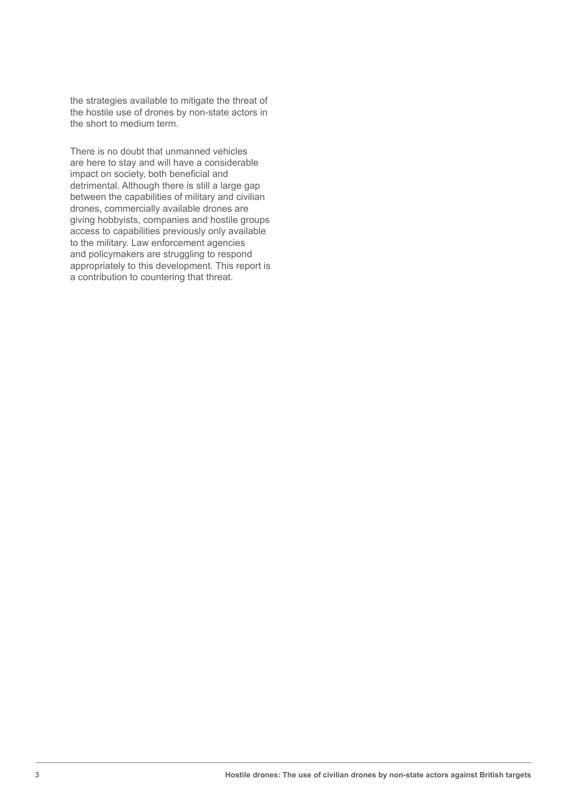the strategies available to mitigate the threat of the hostile use of drones by non-state actors in the short to medium term.

There is no doubt that unmanned vehicles are here to stay and will have a considerable impact on society, both beneficial and detrimental. Although there is still a large gap between the capabilities of military and civilian drones, commercially available drones are giving hobbyists, companies and hostile groups access to capabilities previously only available to the military. Law enforcement agencies and policymakers are struggling to respond appropriately to this development. This report is a contribution to countering that threat.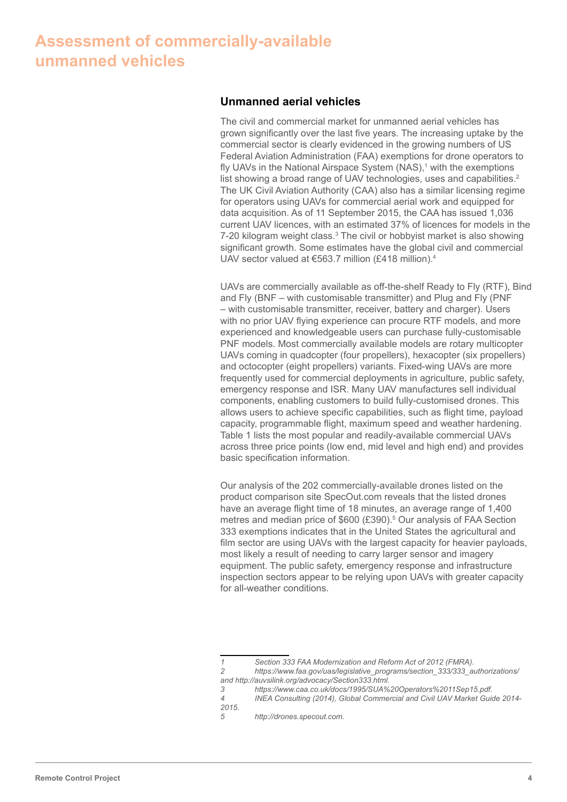# **Assessment of commercially-available unmanned vehicles**

### **Unmanned aerial vehicles**

The civil and commercial market for unmanned aerial vehicles has grown significantly over the last five years. The increasing uptake by the commercial sector is clearly evidenced in the growing numbers of US Federal Aviation Administration (FAA) exemptions for drone operators to fly UAVs in the National Airspace System (NAS),<sup>1</sup> with the exemptions list showing a broad range of UAV technologies, uses and capabilities.<sup>2</sup> The UK Civil Aviation Authority (CAA) also has a similar licensing regime for operators using UAVs for commercial aerial work and equipped for data acquisition. As of 11 September 2015, the CAA has issued 1,036 current UAV licences, with an estimated 37% of licences for models in the 7-20 kilogram weight class.<sup>3</sup> The civil or hobbyist market is also showing significant growth. Some estimates have the global civil and commercial UAV sector valued at €563.7 million (£418 million).<sup>4</sup>

UAVs are commercially available as off-the-shelf Ready to Fly (RTF), Bind and Fly (BNF – with customisable transmitter) and Plug and Fly (PNF – with customisable transmitter, receiver, battery and charger). Users with no prior UAV flying experience can procure RTF models, and more experienced and knowledgeable users can purchase fully-customisable PNF models. Most commercially available models are rotary multicopter UAVs coming in quadcopter (four propellers), hexacopter (six propellers) and octocopter (eight propellers) variants. Fixed-wing UAVs are more frequently used for commercial deployments in agriculture, public safety, emergency response and ISR. Many UAV manufactures sell individual components, enabling customers to build fully-customised drones. This allows users to achieve specific capabilities, such as flight time, payload capacity, programmable flight, maximum speed and weather hardening. Table 1 lists the most popular and readily-available commercial UAVs across three price points (low end, mid level and high end) and provides basic specification information.

Our analysis of the 202 commercially-available drones listed on the product comparison site SpecOut.com reveals that the listed drones have an average flight time of 18 minutes, an average range of 1,400 metres and median price of \$600 (£390).<sup>5</sup> Our analysis of FAA Section 333 exemptions indicates that in the United States the agricultural and film sector are using UAVs with the largest capacity for heavier payloads, most likely a result of needing to carry larger sensor and imagery equipment. The public safety, emergency response and infrastructure inspection sectors appear to be relying upon UAVs with greater capacity for all-weather conditions.

*4 INEA Consulting (2014), Global Commercial and Civil UAV Market Guide 2014- 2015.*

*<sup>1</sup> Section 333 FAA Modernization and Reform Act of 2012 (FMRA). 2 https://www.faa.gov/uas/legislative\_programs/section\_333/333\_authorizations/* 

*and http://auvsilink.org/advocacy/Section333.html. 3 https://www.caa.co.uk/docs/1995/SUA%20Operators%2011Sep15.pdf.*

*<sup>5</sup> http://drones.specout.com.*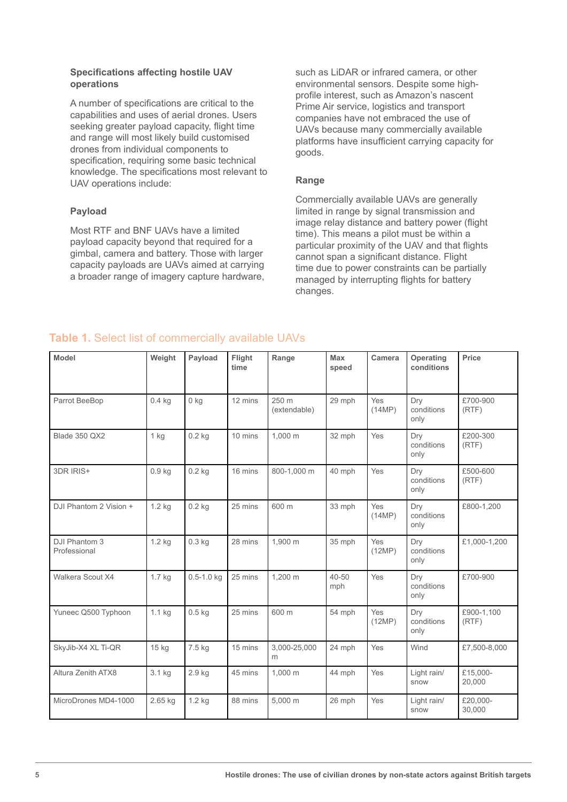#### **Specifications affecting hostile UAV operations**

A number of specifications are critical to the capabilities and uses of aerial drones. Users seeking greater payload capacity, flight time and range will most likely build customised drones from individual components to specification, requiring some basic technical knowledge. The specifications most relevant to UAV operations include:

## **Payload**

Most RTF and BNF UAVs have a limited payload capacity beyond that required for a gimbal, camera and battery. Those with larger capacity payloads are UAVs aimed at carrying a broader range of imagery capture hardware, such as LiDAR or infrared camera, or other environmental sensors. Despite some highprofile interest, such as Amazon's nascent Prime Air service, logistics and transport companies have not embraced the use of UAVs because many commercially available platforms have insufficient carrying capacity for goods.

### **Range**

Commercially available UAVs are generally limited in range by signal transmission and image relay distance and battery power (flight time). This means a pilot must be within a particular proximity of the UAV and that flights cannot span a significant distance. Flight time due to power constraints can be partially managed by interrupting flights for battery changes.

# **Table 1.** Select list of commercially available UAVs

| <b>Model</b>                  | Weight            | Payload        | Flight<br>time | Range                 | Max<br>speed     | Camera        | Operating<br>conditions   | Price               |
|-------------------------------|-------------------|----------------|----------------|-----------------------|------------------|---------------|---------------------------|---------------------|
| Parrot BeeBop                 | $0.4$ kg          | $0$ kg         | 12 mins        | 250 m<br>(extendable) | 29 mph           | Yes<br>(14MP) | Dry<br>conditions<br>only | £700-900<br>(RTF)   |
| Blade 350 QX2                 | $1$ kg            | $0.2$ kg       | 10 mins        | 1.000 m               | 32 mph           | Yes           | Drv<br>conditions<br>only | £200-300<br>(RTF)   |
| 3DR IRIS+                     | 0.9 <sub>kg</sub> | $0.2$ kg       | 16 mins        | 800-1,000 m           | 40 mph           | Yes           | Drv<br>conditions<br>only | £500-600<br>(RTF)   |
| DJI Phantom 2 Vision +        | $1.2$ kg          | $0.2$ kg       | 25 mins        | 600 m                 | 33 mph           | Yes<br>(14MP) | Dry<br>conditions<br>only | £800-1,200          |
| DJI Phantom 3<br>Professional | 1.2 kg            | $0.3$ kg       | 28 mins        | 1,900 m               | 35 mph           | Yes<br>(12MP) | Dry<br>conditions<br>only | £1,000-1,200        |
| Walkera Scout X4              | 1.7 kg            | $0.5 - 1.0$ kg | 25 mins        | 1,200 m               | $40 - 50$<br>mph | Yes           | Dry<br>conditions<br>only | £700-900            |
| Yuneec Q500 Typhoon           | $1.1$ kg          | $0.5$ kg       | 25 mins        | 600 m                 | 54 mph           | Yes<br>(12MP) | Drv<br>conditions<br>only | £900-1.100<br>(RTF) |
| SkyJib-X4 XL Ti-QR            | $15$ kg           | 7.5 kg         | 15 mins        | 3,000-25,000<br>m     | 24 mph           | Yes           | Wind                      | £7,500-8,000        |
| Altura Zenith ATX8            | 3.1 kg            | 2.9 kg         | 45 mins        | 1,000 m               | 44 mph           | Yes           | Light rain/<br>snow       | £15.000-<br>20,000  |
| MicroDrones MD4-1000          | 2.65 kg           | $1.2$ kg       | 88 mins        | 5,000 m               | 26 mph           | Yes           | Light rain/<br>snow       | £20,000-<br>30,000  |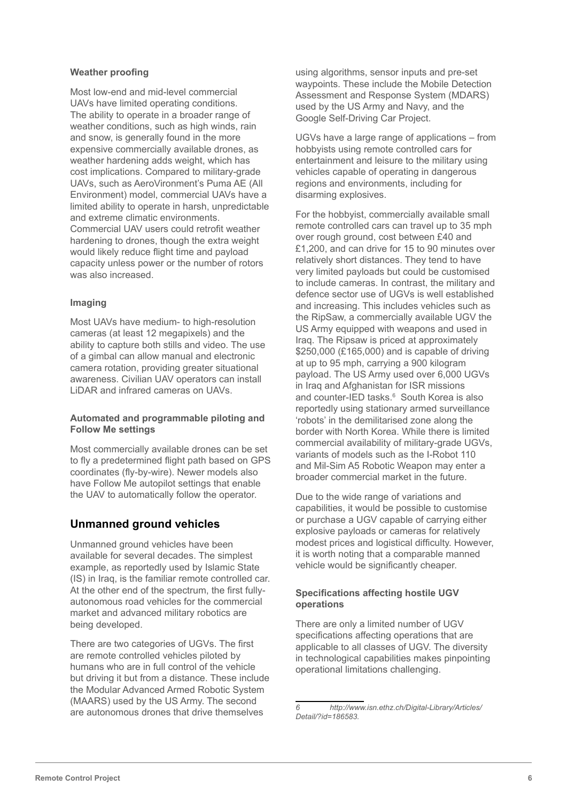#### **Weather proofing**

Most low-end and mid-level commercial UAVs have limited operating conditions. The ability to operate in a broader range of weather conditions, such as high winds, rain and snow, is generally found in the more expensive commercially available drones, as weather hardening adds weight, which has cost implications. Compared to military-grade UAVs, such as AeroVironment's Puma AE (All Environment) model, commercial UAVs have a limited ability to operate in harsh, unpredictable and extreme climatic environments. Commercial UAV users could retrofit weather hardening to drones, though the extra weight would likely reduce flight time and payload capacity unless power or the number of rotors was also increased.

#### **Imaging**

Most UAVs have medium- to high-resolution cameras (at least 12 megapixels) and the ability to capture both stills and video. The use of a gimbal can allow manual and electronic camera rotation, providing greater situational awareness. Civilian UAV operators can install LiDAR and infrared cameras on UAVs.

#### **Automated and programmable piloting and Follow Me settings**

Most commercially available drones can be set to fly a predetermined flight path based on GPS coordinates (fly-by-wire). Newer models also have Follow Me autopilot settings that enable the UAV to automatically follow the operator.

## **Unmanned ground vehicles**

Unmanned ground vehicles have been available for several decades. The simplest example, as reportedly used by Islamic State (IS) in Iraq, is the familiar remote controlled car. At the other end of the spectrum, the first fullyautonomous road vehicles for the commercial market and advanced military robotics are being developed.

There are two categories of UGVs. The first are remote controlled vehicles piloted by humans who are in full control of the vehicle but driving it but from a distance. These include the Modular Advanced Armed Robotic System (MAARS) used by the US Army. The second are autonomous drones that drive themselves

using algorithms, sensor inputs and pre-set waypoints. These include the Mobile Detection Assessment and Response System (MDARS) used by the US Army and Navy, and the Google Self-Driving Car Project.

UGVs have a large range of applications – from hobbyists using remote controlled cars for entertainment and leisure to the military using vehicles capable of operating in dangerous regions and environments, including for disarming explosives.

For the hobbyist, commercially available small remote controlled cars can travel up to 35 mph over rough ground, cost between £40 and £1,200, and can drive for 15 to 90 minutes over relatively short distances. They tend to have very limited payloads but could be customised to include cameras. In contrast, the military and defence sector use of UGVs is well established and increasing. This includes vehicles such as the RipSaw, a commercially available UGV the US Army equipped with weapons and used in Iraq. The Ripsaw is priced at approximately \$250,000 (£165,000) and is capable of driving at up to 95 mph, carrying a 900 kilogram payload. The US Army used over 6,000 UGVs in Iraq and Afghanistan for ISR missions and counter-IED tasks.<sup>6</sup> South Korea is also reportedly using stationary armed surveillance 'robots' in the demilitarised zone along the border with North Korea. While there is limited commercial availability of military-grade UGVs, variants of models such as the I-Robot 110 and Mil-Sim A5 Robotic Weapon may enter a broader commercial market in the future.

Due to the wide range of variations and capabilities, it would be possible to customise or purchase a UGV capable of carrying either explosive payloads or cameras for relatively modest prices and logistical difficulty. However, it is worth noting that a comparable manned vehicle would be significantly cheaper.

### **Specifications affecting hostile UGV operations**

There are only a limited number of UGV specifications affecting operations that are applicable to all classes of UGV. The diversity in technological capabilities makes pinpointing operational limitations challenging.

*<sup>6</sup> http://www.isn.ethz.ch/Digital-Library/Articles/ Detail/?id=186583.*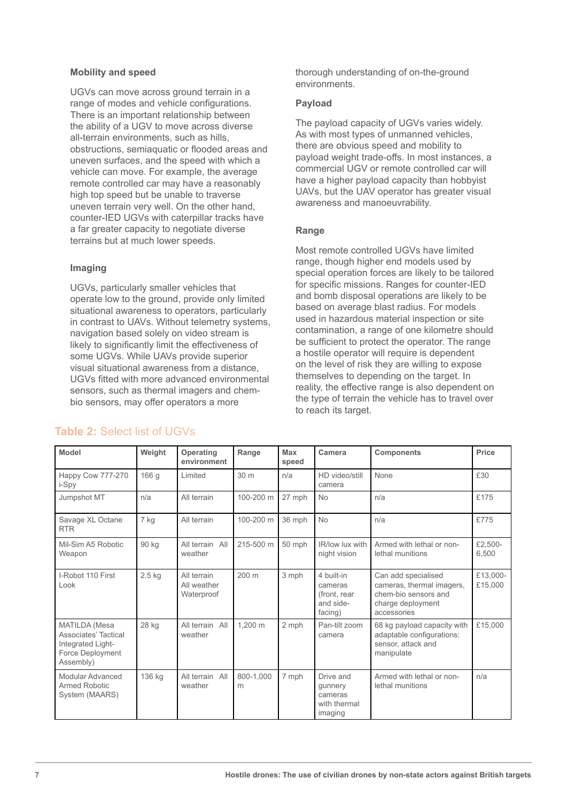#### **Mobility and speed**

UGVs can move across ground terrain in a range of modes and vehicle configurations. There is an important relationship between the ability of a UGV to move across diverse all-terrain environments, such as hills, obstructions, semiaquatic or flooded areas and uneven surfaces, and the speed with which a vehicle can move. For example, the average remote controlled car may have a reasonably high top speed but be unable to traverse uneven terrain very well. On the other hand, counter-IED UGVs with caterpillar tracks have a far greater capacity to negotiate diverse terrains but at much lower speeds.

## **Imaging**

UGVs, particularly smaller vehicles that operate low to the ground, provide only limited situational awareness to operators, particularly in contrast to UAVs. Without telemetry systems, navigation based solely on video stream is likely to significantly limit the effectiveness of some UGVs. While UAVs provide superior visual situational awareness from a distance, UGVs fitted with more advanced environmental sensors, such as thermal imagers and chembio sensors, may offer operators a more

thorough understanding of on-the-ground environments.

#### **Payload**

The payload capacity of UGVs varies widely. As with most types of unmanned vehicles, there are obvious speed and mobility to payload weight trade-offs. In most instances, a commercial UGV or remote controlled car will have a higher payload capacity than hobbyist UAVs, but the UAV operator has greater visual awareness and manoeuvrability.

## **Range**

Most remote controlled UGVs have limited range, though higher end models used by special operation forces are likely to be tailored for specific missions. Ranges for counter-IED and bomb disposal operations are likely to be based on average blast radius. For models used in hazardous material inspection or site contamination, a range of one kilometre should be sufficient to protect the operator. The range a hostile operator will require is dependent on the level of risk they are willing to expose themselves to depending on the target. In reality, the effective range is also dependent on the type of terrain the vehicle has to travel over to reach its target.

| Model                                                                                       | Weight | Operating<br>environment                 | Range           | Max<br>speed | Camera                                                        | <b>Components</b>                                                                                            | Price               |
|---------------------------------------------------------------------------------------------|--------|------------------------------------------|-----------------|--------------|---------------------------------------------------------------|--------------------------------------------------------------------------------------------------------------|---------------------|
| Happy Cow 777-270<br>i-Spy                                                                  | 166 g  | Limited                                  | 30 <sub>m</sub> | n/a          | HD video/still<br>camera                                      | None                                                                                                         | £30                 |
| Jumpshot MT                                                                                 | n/a    | All terrain                              | 100-200 m       | 27 mph       | <b>No</b>                                                     | n/a                                                                                                          | £175                |
| Savage XL Octane<br><b>RTR</b>                                                              | 7 kg   | All terrain                              | 100-200 m       | 36 mph       | <b>No</b>                                                     | n/a                                                                                                          | £775                |
| Mil-Sim A5 Robotic<br>Weapon                                                                | 90 kg  | All terrain<br>All<br>weather            | 215-500 m       | 50 mph       | IR/low lux with<br>night vision                               | Armed with lethal or non-<br>lethal munitions                                                                | £2,500-<br>6,500    |
| I-Robot 110 First<br>Look                                                                   | 2.5 kg | All terrain<br>All weather<br>Waterproof | 200 m           | 3 mph        | 4 built-in<br>cameras<br>(front, rear<br>and side-<br>facing) | Can add specialised<br>cameras, thermal imagers,<br>chem-bio sensors and<br>charge deployment<br>accessories | £13,000-<br>£15,000 |
| MATILDA (Mesa<br>Associates' Tactical<br>Integrated Light-<br>Force Deployment<br>Assembly) | 28 kg  | All terrain<br>All<br>weather            | 1,200 m         | 2 mph        | Pan-tilt zoom<br>camera                                       | 68 kg payload capacity with<br>adaptable configurations:<br>sensor, attack and<br>manipulate                 | £15,000             |
| Modular Advanced<br>Armed Robotic<br>System (MAARS)                                         | 136 kg | All terrain All<br>weather               | 800-1.000<br>m  | 7 mph        | Drive and<br>gunnery<br>cameras<br>with thermal<br>imaging    | Armed with lethal or non-<br>lethal munitions                                                                | n/a                 |

## **Table 2:** Select list of UGVs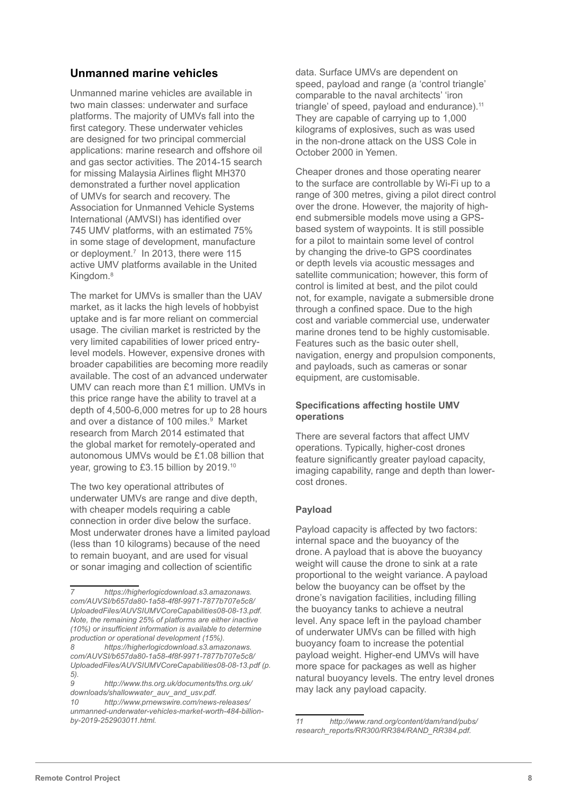# **Unmanned marine vehicles**

Unmanned marine vehicles are available in two main classes: underwater and surface platforms. The majority of UMVs fall into the first category. These underwater vehicles are designed for two principal commercial applications: marine research and offshore oil and gas sector activities. The 2014-15 search for missing Malaysia Airlines flight MH370 demonstrated a further novel application of UMVs for search and recovery. The Association for Unmanned Vehicle Systems International (AMVSI) has identified over 745 UMV platforms, with an estimated 75% in some stage of development, manufacture or deployment.7 In 2013, there were 115 active UMV platforms available in the United Kingdom.8

The market for UMVs is smaller than the UAV market, as it lacks the high levels of hobbyist uptake and is far more reliant on commercial usage. The civilian market is restricted by the very limited capabilities of lower priced entrylevel models. However, expensive drones with broader capabilities are becoming more readily available. The cost of an advanced underwater UMV can reach more than £1 million. UMVs in this price range have the ability to travel at a depth of 4,500-6,000 metres for up to 28 hours and over a distance of 100 miles.<sup>9</sup> Market research from March 2014 estimated that the global market for remotely-operated and autonomous UMVs would be £1.08 billion that year, growing to £3.15 billion by 2019.<sup>10</sup>

The two key operational attributes of underwater UMVs are range and dive depth, with cheaper models requiring a cable connection in order dive below the surface. Most underwater drones have a limited payload (less than 10 kilograms) because of the need to remain buoyant, and are used for visual or sonar imaging and collection of scientific

data. Surface UMVs are dependent on speed, payload and range (a 'control triangle' comparable to the naval architects' 'iron triangle' of speed, payload and endurance).<sup>11</sup> They are capable of carrying up to 1,000 kilograms of explosives, such as was used in the non-drone attack on the USS Cole in October 2000 in Yemen.

Cheaper drones and those operating nearer to the surface are controllable by Wi-Fi up to a range of 300 metres, giving a pilot direct control over the drone. However, the majority of highend submersible models move using a GPSbased system of waypoints. It is still possible for a pilot to maintain some level of control by changing the drive-to GPS coordinates or depth levels via acoustic messages and satellite communication; however, this form of control is limited at best, and the pilot could not, for example, navigate a submersible drone through a confined space. Due to the high cost and variable commercial use, underwater marine drones tend to be highly customisable. Features such as the basic outer shell, navigation, energy and propulsion components, and payloads, such as cameras or sonar equipment, are customisable.

### **Specifications affecting hostile UMV operations**

There are several factors that affect UMV operations. Typically, higher-cost drones feature significantly greater payload capacity, imaging capability, range and depth than lowercost drones.

## **Payload**

Payload capacity is affected by two factors: internal space and the buoyancy of the drone. A payload that is above the buoyancy weight will cause the drone to sink at a rate proportional to the weight variance. A payload below the buoyancy can be offset by the drone's navigation facilities, including filling the buoyancy tanks to achieve a neutral level. Any space left in the payload chamber of underwater UMVs can be filled with high buoyancy foam to increase the potential payload weight. Higher-end UMVs will have more space for packages as well as higher natural buoyancy levels. The entry level drones may lack any payload capacity.

*<sup>7</sup> https://higherlogicdownload.s3.amazonaws. com/AUVSI/b657da80-1a58-4f8f-9971-7877b707e5c8/ UploadedFiles/AUVSIUMVCoreCapabilities08-08-13.pdf. Note, the remaining 25% of platforms are either inactive (10%) or insufficient information is available to determine production or operational development (15%).* 

*<sup>8</sup> https://higherlogicdownload.s3.amazonaws. com/AUVSI/b657da80-1a58-4f8f-9971-7877b707e5c8/ UploadedFiles/AUVSIUMVCoreCapabilities08-08-13.pdf (p. 5).*

*<sup>9</sup> http://www.ths.org.uk/documents/ths.org.uk/ downloads/shallowwater\_auv\_and\_usv.pdf.*

*<sup>10</sup> http://www.prnewswire.com/news-releases/ unmanned-underwater-vehicles-market-worth-484-billionby-2019-252903011.html.*

*<sup>11</sup> http://www.rand.org/content/dam/rand/pubs/ research\_reports/RR300/RR384/RAND\_RR384.pdf.*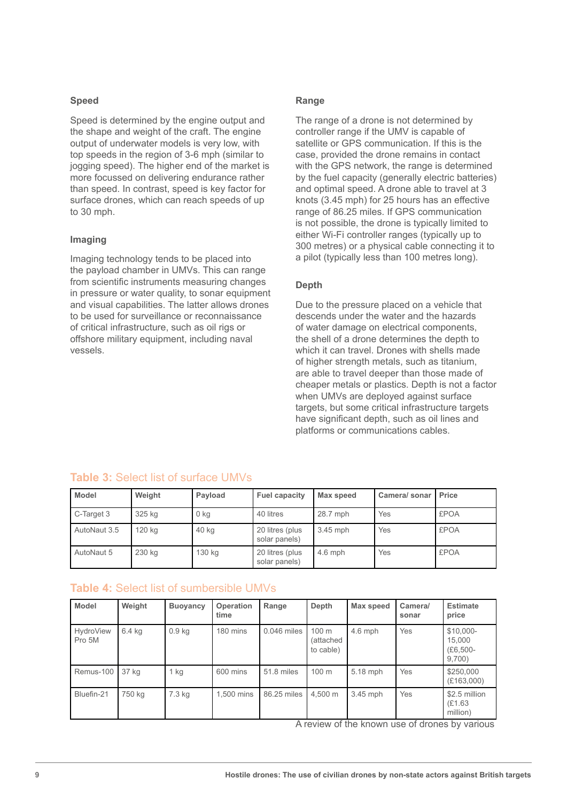#### **Speed**

Speed is determined by the engine output and the shape and weight of the craft. The engine output of underwater models is very low, with top speeds in the region of 3-6 mph (similar to jogging speed). The higher end of the market is more focussed on delivering endurance rather than speed. In contrast, speed is key factor for surface drones, which can reach speeds of up to 30 mph.

#### **Imaging**

Imaging technology tends to be placed into the payload chamber in UMVs. This can range from scientific instruments measuring changes in pressure or water quality, to sonar equipment and visual capabilities. The latter allows drones to be used for surveillance or reconnaissance of critical infrastructure, such as oil rigs or offshore military equipment, including naval vessels.

### **Range**

The range of a drone is not determined by controller range if the UMV is capable of satellite or GPS communication. If this is the case, provided the drone remains in contact with the GPS network, the range is determined by the fuel capacity (generally electric batteries) and optimal speed. A drone able to travel at 3 knots (3.45 mph) for 25 hours has an effective range of 86.25 miles. If GPS communication is not possible, the drone is typically limited to either Wi-Fi controller ranges (typically up to 300 metres) or a physical cable connecting it to a pilot (typically less than 100 metres long).

### **Depth**

Due to the pressure placed on a vehicle that descends under the water and the hazards of water damage on electrical components, the shell of a drone determines the depth to which it can travel. Drones with shells made of higher strength metals, such as titanium, are able to travel deeper than those made of cheaper metals or plastics. Depth is not a factor when UMVs are deployed against surface targets, but some critical infrastructure targets have significant depth, such as oil lines and platforms or communications cables.

| <b>Model</b> | Weight | Payload | <b>Fuel capacity</b>             | Max speed  | Camera/ sonar | <b>Price</b> |
|--------------|--------|---------|----------------------------------|------------|---------------|--------------|
| C-Target 3   | 325 kg | 0 kg    | 40 litres                        | 28.7 mph   | Yes           | <b>£POA</b>  |
| AutoNaut 3.5 | 120 kg | 40 kg   | 20 litres (plus<br>solar panels) | $3.45$ mph | Yes           | <b>£POA</b>  |
| AutoNaut 5   | 230 kg | 130 kg  | 20 litres (plus<br>solar panels) | $4.6$ mph  | Yes           | <b>£POA</b>  |

# **Table 3:** Select list of surface UMVs

## **Table 4:** Select list of sumbersible UMVs

| <b>Model</b>               | Weight | <b>Buoyancy</b>   | Operation<br>time | Range         | Depth                           | Max speed | Camera/<br>sonar | <b>Estimate</b><br>price                      |
|----------------------------|--------|-------------------|-------------------|---------------|---------------------------------|-----------|------------------|-----------------------------------------------|
| <b>HydroView</b><br>Pro 5M | 6.4 kg | 0.9 <sub>kq</sub> | 180 mins          | $0.046$ miles | 100 m<br>(attached<br>to cable) | $4.6$ mph | Yes              | \$10,000-<br>15,000<br>$(E6, 500 -$<br>9,700) |
| Remus-100                  | 37 kg  | $1$ kg            | 600 mins          | 51.8 miles    | 100 <sub>m</sub>                | 5.18 mph  | Yes              | \$250,000<br>(E163,000)                       |
| Bluefin-21                 | 750 kg | 7.3 kg            | 1.500 mins        | 86.25 miles   | 4.500 m                         | 3.45 mph  | Yes              | \$2.5 million<br>(E1.63)<br>million)          |

A review of the known use of drones by various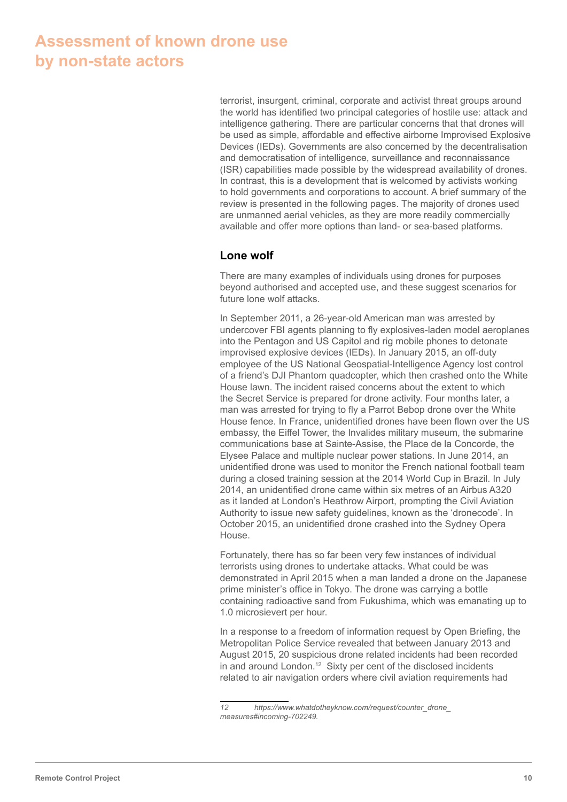# **Assessment of known drone use by non-state actors**

terrorist, insurgent, criminal, corporate and activist threat groups around the world has identified two principal categories of hostile use: attack and intelligence gathering. There are particular concerns that that drones will be used as simple, affordable and effective airborne Improvised Explosive Devices (IEDs). Governments are also concerned by the decentralisation and democratisation of intelligence, surveillance and reconnaissance (ISR) capabilities made possible by the widespread availability of drones. In contrast, this is a development that is welcomed by activists working to hold governments and corporations to account. A brief summary of the review is presented in the following pages. The majority of drones used are unmanned aerial vehicles, as they are more readily commercially available and offer more options than land- or sea-based platforms.

## **Lone wolf**

There are many examples of individuals using drones for purposes beyond authorised and accepted use, and these suggest scenarios for future lone wolf attacks.

In September 2011, a 26-year-old American man was arrested by undercover FBI agents planning to fly explosives-laden model aeroplanes into the Pentagon and US Capitol and rig mobile phones to detonate improvised explosive devices (IEDs). In January 2015, an off-duty employee of the US National Geospatial-Intelligence Agency lost control of a friend's DJI Phantom quadcopter, which then crashed onto the White House lawn. The incident raised concerns about the extent to which the Secret Service is prepared for drone activity. Four months later, a man was arrested for trying to fly a Parrot Bebop drone over the White House fence. In France, unidentified drones have been flown over the US embassy, the Eiffel Tower, the Invalides military museum, the submarine communications base at Sainte-Assise, the Place de la Concorde, the Elysee Palace and multiple nuclear power stations. In June 2014, an unidentified drone was used to monitor the French national football team during a closed training session at the 2014 World Cup in Brazil. In July 2014, an unidentified drone came within six metres of an Airbus A320 as it landed at London's Heathrow Airport, prompting the Civil Aviation Authority to issue new safety guidelines, known as the 'dronecode'. In October 2015, an unidentified drone crashed into the Sydney Opera House.

Fortunately, there has so far been very few instances of individual terrorists using drones to undertake attacks. What could be was demonstrated in April 2015 when a man landed a drone on the Japanese prime minister's office in Tokyo. The drone was carrying a bottle containing radioactive sand from Fukushima, which was emanating up to 1.0 microsievert per hour.

In a response to a freedom of information request by Open Briefing, the Metropolitan Police Service revealed that between January 2013 and August 2015, 20 suspicious drone related incidents had been recorded in and around London.<sup>12</sup> Sixty per cent of the disclosed incidents related to air navigation orders where civil aviation requirements had

*<sup>12</sup> https://www.whatdotheyknow.com/request/counter\_drone\_ measures#incoming-702249.*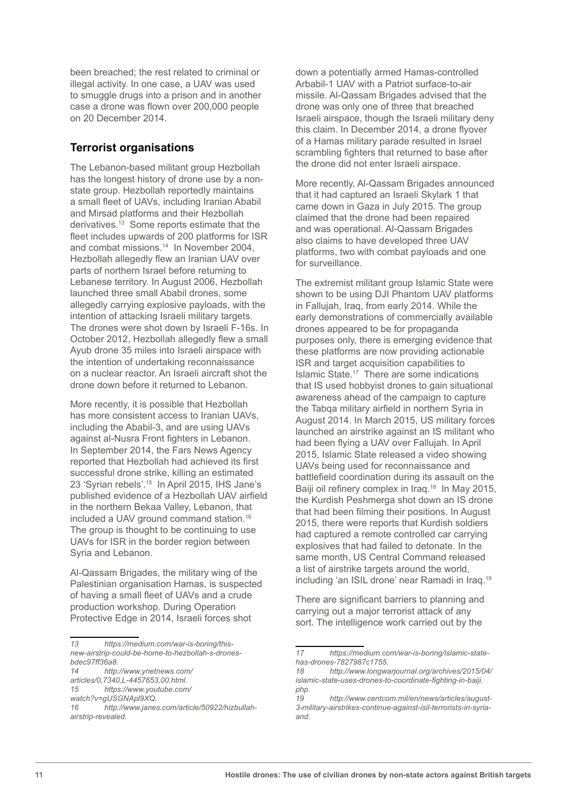been breached; the rest related to criminal or illegal activity. In one case, a UAV was used to smuggle drugs into a prison and in another case a drone was flown over 200,000 people on 20 December 2014.

## **Terrorist organisations**

The Lebanon-based militant group Hezbollah has the longest history of drone use by a nonstate group. Hezbollah reportedly maintains a small fleet of UAVs, including Iranian Ababil and Mirsad platforms and their Hezbollah derivatives.13 Some reports estimate that the fleet includes upwards of 200 platforms for ISR and combat missions.<sup>14</sup> In November 2004, Hezbollah allegedly flew an Iranian UAV over parts of northern Israel before returning to Lebanese territory. In August 2006, Hezbollah launched three small Ababil drones, some allegedly carrying explosive payloads, with the intention of attacking Israeli military targets. The drones were shot down by Israeli F-16s. In October 2012, Hezbollah allegedly flew a small Ayub drone 35 miles into Israeli airspace with the intention of undertaking reconnaissance on a nuclear reactor. An Israeli aircraft shot the drone down before it returned to Lebanon.

More recently, it is possible that Hezbollah has more consistent access to Iranian UAVs, including the Ababil-3, and are using UAVs against al-Nusra Front fighters in Lebanon. In September 2014, the Fars News Agency reported that Hezbollah had achieved its first successful drone strike, killing an estimated 23 'Syrian rebels'.15 In April 2015, IHS Jane's published evidence of a Hezbollah UAV airfield in the northern Bekaa Valley, Lebanon, that included a UAV ground command station.16 The group is thought to be continuing to use UAVs for ISR in the border region between Syria and Lebanon.

Al-Qassam Brigades, the military wing of the Palestinian organisation Hamas, is suspected of having a small fleet of UAVs and a crude production workshop. During Operation Protective Edge in 2014, Israeli forces shot

down a potentially armed Hamas-controlled Arbabil-1 UAV with a Patriot surface-to-air missile. Al-Qassam Brigades advised that the drone was only one of three that breached Israeli airspace, though the Israeli military deny this claim. In December 2014, a drone flyover of a Hamas military parade resulted in Israel scrambling fighters that returned to base after the drone did not enter Israeli airspace.

More recently, Al-Qassam Brigades announced that it had captured an Israeli Skylark 1 that came down in Gaza in July 2015. The group claimed that the drone had been repaired and was operational. Al-Qassam Brigades also claims to have developed three UAV platforms, two with combat payloads and one for surveillance.

The extremist militant group Islamic State were shown to be using DJI Phantom UAV platforms in Fallujah, Iraq, from early 2014. While the early demonstrations of commercially available drones appeared to be for propaganda purposes only, there is emerging evidence that these platforms are now providing actionable ISR and target acquisition capabilities to Islamic State.17 There are some indications that IS used hobbyist drones to gain situational awareness ahead of the campaign to capture the Tabqa military airfield in northern Syria in August 2014. In March 2015, US military forces launched an airstrike against an IS militant who had been flying a UAV over Fallujah. In April 2015, Islamic State released a video showing UAVs being used for reconnaissance and battlefield coordination during its assault on the Baiji oil refinery complex in Iraq.<sup>18</sup> In May 2015, the Kurdish Peshmerga shot down an IS drone that had been filming their positions. In August 2015, there were reports that Kurdish soldiers had captured a remote controlled car carrying explosives that had failed to detonate. In the same month, US Central Command released a list of airstrike targets around the world, including 'an ISIL drone' near Ramadi in Iraq.<sup>19</sup>

There are significant barriers to planning and carrying out a major terrorist attack of any sort. The intelligence work carried out by the

*<sup>13</sup> https://medium.com/war-is-boring/thisnew-airstrip-could-be-home-to-hezbollah-s-drones-*

*bdec97ff36a8. 14 http://www.ynetnews.com/*

*articles/0,7340,L-4457653,00.html. 15 https://www.youtube.com/*

*watch?v=gUSGNApl9XQ.*

*<sup>16</sup> http://www.janes.com/article/50922/hizbullahairstrip-revealed.*

*<sup>17</sup> https://medium.com/war-is-boring/islamic-statehas-drones-7827987c1755.*

*<sup>18</sup> http://www.longwarjournal.org/archives/2015/04/ islamic-state-uses-drones-to-coordinate-fighting-in-baiji. php.*

*<sup>19</sup> http://www.centcom.mil/en/news/articles/august-3-military-airstrikes-continue-against-isil-terrorists-in-syriaand.*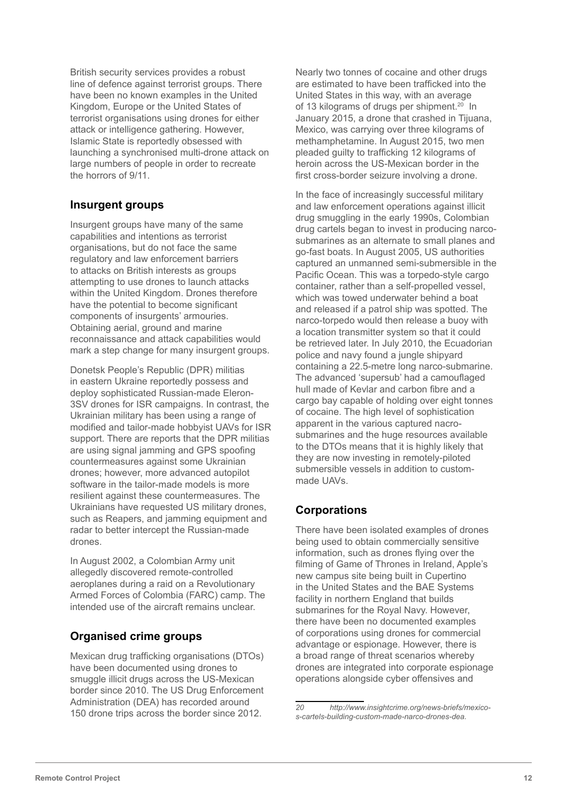British security services provides a robust line of defence against terrorist groups. There have been no known examples in the United Kingdom, Europe or the United States of terrorist organisations using drones for either attack or intelligence gathering. However, Islamic State is reportedly obsessed with launching a synchronised multi-drone attack on large numbers of people in order to recreate the horrors of 9/11.

# **Insurgent groups**

Insurgent groups have many of the same capabilities and intentions as terrorist organisations, but do not face the same regulatory and law enforcement barriers to attacks on British interests as groups attempting to use drones to launch attacks within the United Kingdom. Drones therefore have the potential to become significant components of insurgents' armouries. Obtaining aerial, ground and marine reconnaissance and attack capabilities would mark a step change for many insurgent groups.

Donetsk People's Republic (DPR) militias in eastern Ukraine reportedly possess and deploy sophisticated Russian-made Eleron-3SV drones for ISR campaigns. In contrast, the Ukrainian military has been using a range of modified and tailor-made hobbyist UAVs for ISR support. There are reports that the DPR militias are using signal jamming and GPS spoofing countermeasures against some Ukrainian drones; however, more advanced autopilot software in the tailor-made models is more resilient against these countermeasures. The Ukrainians have requested US military drones, such as Reapers, and jamming equipment and radar to better intercept the Russian-made drones.

In August 2002, a Colombian Army unit allegedly discovered remote-controlled aeroplanes during a raid on a Revolutionary Armed Forces of Colombia (FARC) camp. The intended use of the aircraft remains unclear.

# **Organised crime groups**

Mexican drug trafficking organisations (DTOs) have been documented using drones to smuggle illicit drugs across the US-Mexican border since 2010. The US Drug Enforcement Administration (DEA) has recorded around 150 drone trips across the border since 2012.

Nearly two tonnes of cocaine and other drugs are estimated to have been trafficked into the United States in this way, with an average of 13 kilograms of drugs per shipment.<sup>20</sup> In January 2015, a drone that crashed in Tijuana, Mexico, was carrying over three kilograms of methamphetamine. In August 2015, two men pleaded guilty to trafficking 12 kilograms of heroin across the US-Mexican border in the first cross-border seizure involving a drone.

In the face of increasingly successful military and law enforcement operations against illicit drug smuggling in the early 1990s, Colombian drug cartels began to invest in producing narcosubmarines as an alternate to small planes and go-fast boats. In August 2005, US authorities captured an unmanned semi-submersible in the Pacific Ocean. This was a torpedo-style cargo container, rather than a self-propelled vessel, which was towed underwater behind a boat and released if a patrol ship was spotted. The narco-torpedo would then release a buoy with a location transmitter system so that it could be retrieved later. In July 2010, the Ecuadorian police and navy found a jungle shipyard containing a 22.5-metre long narco-submarine. The advanced 'supersub' had a camouflaged hull made of Kevlar and carbon fibre and a cargo bay capable of holding over eight tonnes of cocaine. The high level of sophistication apparent in the various captured nacrosubmarines and the huge resources available to the DTOs means that it is highly likely that they are now investing in remotely-piloted submersible vessels in addition to custommade UAVs.

# **Corporations**

There have been isolated examples of drones being used to obtain commercially sensitive information, such as drones flying over the filming of Game of Thrones in Ireland, Apple's new campus site being built in Cupertino in the United States and the BAE Systems facility in northern England that builds submarines for the Royal Navy. However, there have been no documented examples of corporations using drones for commercial advantage or espionage. However, there is a broad range of threat scenarios whereby drones are integrated into corporate espionage operations alongside cyber offensives and

*<sup>20</sup> http://www.insightcrime.org/news-briefs/mexicos-cartels-building-custom-made-narco-drones-dea.*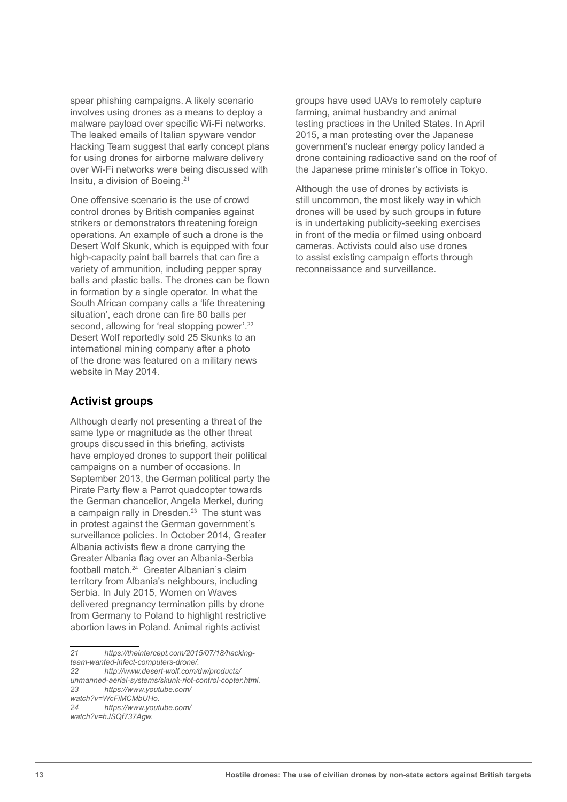spear phishing campaigns. A likely scenario involves using drones as a means to deploy a malware payload over specific Wi-Fi networks. The leaked emails of Italian spyware vendor Hacking Team suggest that early concept plans for using drones for airborne malware delivery over Wi-Fi networks were being discussed with Insitu, a division of Boeing.21

One offensive scenario is the use of crowd control drones by British companies against strikers or demonstrators threatening foreign operations. An example of such a drone is the Desert Wolf Skunk, which is equipped with four high-capacity paint ball barrels that can fire a variety of ammunition, including pepper spray balls and plastic balls. The drones can be flown in formation by a single operator. In what the South African company calls a 'life threatening situation', each drone can fire 80 balls per second, allowing for 'real stopping power'.<sup>22</sup> Desert Wolf reportedly sold 25 Skunks to an international mining company after a photo of the drone was featured on a military news website in May 2014.

# **Activist groups**

Although clearly not presenting a threat of the same type or magnitude as the other threat groups discussed in this briefing, activists have employed drones to support their political campaigns on a number of occasions. In September 2013, the German political party the Pirate Party flew a Parrot quadcopter towards the German chancellor, Angela Merkel, during a campaign rally in Dresden.<sup>23</sup> The stunt was in protest against the German government's surveillance policies. In October 2014, Greater Albania activists flew a drone carrying the Greater Albania flag over an Albania-Serbia football match.24 Greater Albanian's claim territory from Albania's neighbours, including Serbia. In July 2015, Women on Waves delivered pregnancy termination pills by drone from Germany to Poland to highlight restrictive abortion laws in Poland. Animal rights activist

*21 https://theintercept.com/2015/07/18/hackingteam-wanted-infect-computers-drone/. 22 http://www.desert-wolf.com/dw/products/ unmanned-aerial-systems/skunk-riot-control-copter.html. 23 https://www.youtube.com/ watch?v=WcFiMCMbUHo. 24 https://www.youtube.com/ watch?v=hJSQf737Agw.*

groups have used UAVs to remotely capture farming, animal husbandry and animal testing practices in the United States. In April 2015, a man protesting over the Japanese government's nuclear energy policy landed a drone containing radioactive sand on the roof of the Japanese prime minister's office in Tokyo.

Although the use of drones by activists is still uncommon, the most likely way in which drones will be used by such groups in future is in undertaking publicity-seeking exercises in front of the media or filmed using onboard cameras. Activists could also use drones to assist existing campaign efforts through reconnaissance and surveillance.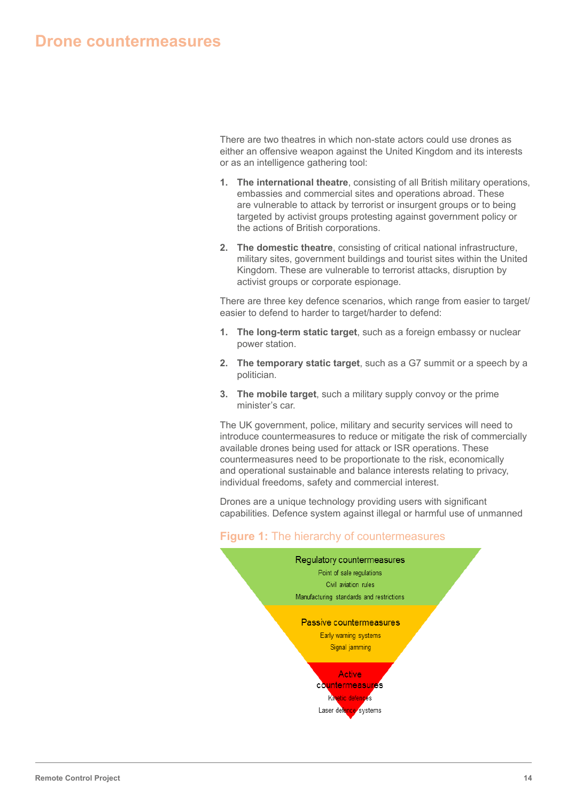There are two theatres in which non-state actors could use drones as either an offensive weapon against the United Kingdom and its interests or as an intelligence gathering tool:

- **1. The international theatre**, consisting of all British military operations, embassies and commercial sites and operations abroad. These are vulnerable to attack by terrorist or insurgent groups or to being targeted by activist groups protesting against government policy or the actions of British corporations.
- **2. The domestic theatre**, consisting of critical national infrastructure, military sites, government buildings and tourist sites within the United Kingdom. These are vulnerable to terrorist attacks, disruption by activist groups or corporate espionage.

There are three key defence scenarios, which range from easier to target/ easier to defend to harder to target/harder to defend:

- **1. The long-term static target**, such as a foreign embassy or nuclear power station.
- **2. The temporary static target**, such as a G7 summit or a speech by a politician.
- **3. The mobile target**, such a military supply convoy or the prime minister's car.

The UK government, police, military and security services will need to introduce countermeasures to reduce or mitigate the risk of commercially available drones being used for attack or ISR operations. These countermeasures need to be proportionate to the risk, economically and operational sustainable and balance interests relating to privacy, individual freedoms, safety and commercial interest.

Drones are a unique technology providing users with significant capabilities. Defence system against illegal or harmful use of unmanned



# **Figure 1:** The hierarchy of countermeasures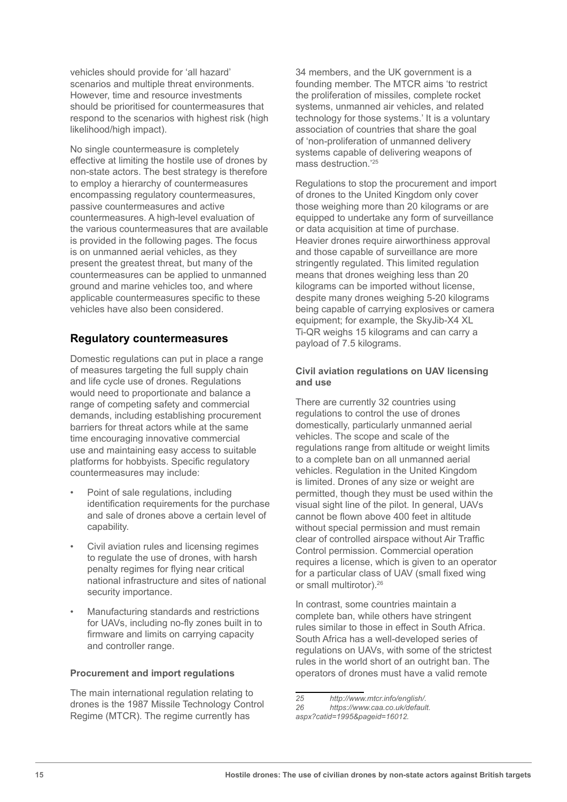vehicles should provide for 'all hazard' scenarios and multiple threat environments. However, time and resource investments should be prioritised for countermeasures that respond to the scenarios with highest risk (high likelihood/high impact).

No single countermeasure is completely effective at limiting the hostile use of drones by non-state actors. The best strategy is therefore to employ a hierarchy of countermeasures encompassing regulatory countermeasures, passive countermeasures and active countermeasures. A high-level evaluation of the various countermeasures that are available is provided in the following pages. The focus is on unmanned aerial vehicles, as they present the greatest threat, but many of the countermeasures can be applied to unmanned ground and marine vehicles too, and where applicable countermeasures specific to these vehicles have also been considered.

## **Regulatory countermeasures**

Domestic regulations can put in place a range of measures targeting the full supply chain and life cycle use of drones. Regulations would need to proportionate and balance a range of competing safety and commercial demands, including establishing procurement barriers for threat actors while at the same time encouraging innovative commercial use and maintaining easy access to suitable platforms for hobbyists. Specific regulatory countermeasures may include:

- Point of sale regulations, including identification requirements for the purchase and sale of drones above a certain level of capability.
- Civil aviation rules and licensing regimes to regulate the use of drones, with harsh penalty regimes for flying near critical national infrastructure and sites of national security importance.
- Manufacturing standards and restrictions for UAVs, including no-fly zones built in to firmware and limits on carrying capacity and controller range.

#### **Procurement and import regulations**

The main international regulation relating to drones is the 1987 Missile Technology Control Regime (MTCR). The regime currently has

34 members, and the UK government is a founding member. The MTCR aims 'to restrict the proliferation of missiles, complete rocket systems, unmanned air vehicles, and related technology for those systems.' It is a voluntary association of countries that share the goal of 'non-proliferation of unmanned delivery systems capable of delivering weapons of mass destruction.'25

Regulations to stop the procurement and import of drones to the United Kingdom only cover those weighing more than 20 kilograms or are equipped to undertake any form of surveillance or data acquisition at time of purchase. Heavier drones require airworthiness approval and those capable of surveillance are more stringently regulated. This limited regulation means that drones weighing less than 20 kilograms can be imported without license, despite many drones weighing 5-20 kilograms being capable of carrying explosives or camera equipment; for example, the SkyJib-X4 XL Ti-QR weighs 15 kilograms and can carry a payload of 7.5 kilograms.

#### **Civil aviation regulations on UAV licensing and use**

There are currently 32 countries using regulations to control the use of drones domestically, particularly unmanned aerial vehicles. The scope and scale of the regulations range from altitude or weight limits to a complete ban on all unmanned aerial vehicles. Regulation in the United Kingdom is limited. Drones of any size or weight are permitted, though they must be used within the visual sight line of the pilot. In general, UAVs cannot be flown above 400 feet in altitude without special permission and must remain clear of controlled airspace without Air Traffic Control permission. Commercial operation requires a license, which is given to an operator for a particular class of UAV (small fixed wing or small multirotor).26

In contrast, some countries maintain a complete ban, while others have stringent rules similar to those in effect in South Africa. South Africa has a well-developed series of regulations on UAVs, with some of the strictest rules in the world short of an outright ban. The operators of drones must have a valid remote

*<sup>25</sup> http://www.mtcr.info/english/.*

*<sup>26</sup> https://www.caa.co.uk/default.*

*aspx?catid=1995&pageid=16012.*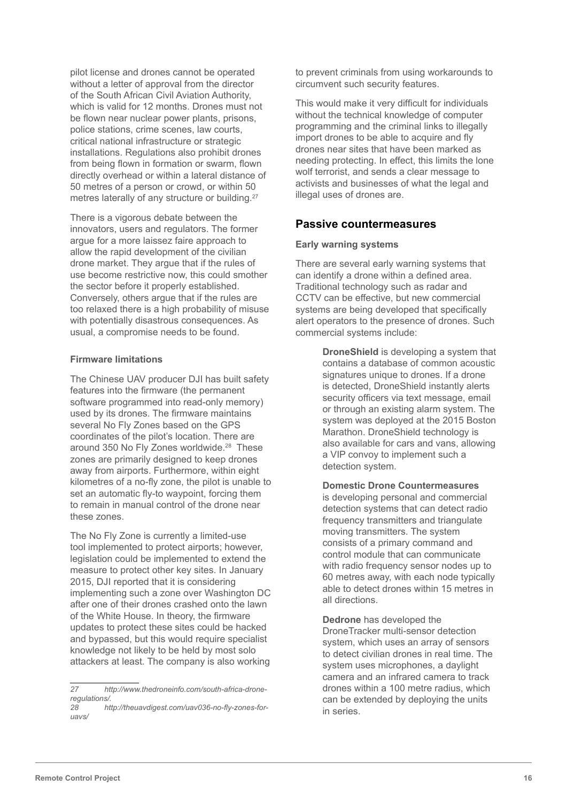pilot license and drones cannot be operated without a letter of approval from the director of the South African Civil Aviation Authority, which is valid for 12 months. Drones must not be flown near nuclear power plants, prisons, police stations, crime scenes, law courts, critical national infrastructure or strategic installations. Regulations also prohibit drones from being flown in formation or swarm, flown directly overhead or within a lateral distance of 50 metres of a person or crowd, or within 50 metres laterally of any structure or building.<sup>27</sup>

There is a vigorous debate between the innovators, users and regulators. The former argue for a more laissez faire approach to allow the rapid development of the civilian drone market. They argue that if the rules of use become restrictive now, this could smother the sector before it properly established. Conversely, others argue that if the rules are too relaxed there is a high probability of misuse with potentially disastrous consequences. As usual, a compromise needs to be found.

#### **Firmware limitations**

The Chinese UAV producer DJI has built safety features into the firmware (the permanent software programmed into read-only memory) used by its drones. The firmware maintains several No Fly Zones based on the GPS coordinates of the pilot's location. There are around 350 No Fly Zones worldwide.<sup>28</sup> These zones are primarily designed to keep drones away from airports. Furthermore, within eight kilometres of a no-fly zone, the pilot is unable to set an automatic fly-to waypoint, forcing them to remain in manual control of the drone near these zones.

The No Fly Zone is currently a limited-use tool implemented to protect airports; however, legislation could be implemented to extend the measure to protect other key sites. In January 2015, DJI reported that it is considering implementing such a zone over Washington DC after one of their drones crashed onto the lawn of the White House. In theory, the firmware updates to protect these sites could be hacked and bypassed, but this would require specialist knowledge not likely to be held by most solo attackers at least. The company is also working to prevent criminals from using workarounds to circumvent such security features.

This would make it very difficult for individuals without the technical knowledge of computer programming and the criminal links to illegally import drones to be able to acquire and fly drones near sites that have been marked as needing protecting. In effect, this limits the lone wolf terrorist, and sends a clear message to activists and businesses of what the legal and illegal uses of drones are.

## **Passive countermeasures**

#### **Early warning systems**

There are several early warning systems that can identify a drone within a defined area. Traditional technology such as radar and CCTV can be effective, but new commercial systems are being developed that specifically alert operators to the presence of drones. Such commercial systems include:

> **DroneShield** is developing a system that contains a database of common acoustic signatures unique to drones. If a drone is detected, DroneShield instantly alerts security officers via text message, email or through an existing alarm system. The system was deployed at the 2015 Boston Marathon. DroneShield technology is also available for cars and vans, allowing a VIP convoy to implement such a detection system.

**Domestic Drone Countermeasures** is developing personal and commercial detection systems that can detect radio frequency transmitters and triangulate moving transmitters. The system consists of a primary command and control module that can communicate with radio frequency sensor nodes up to 60 metres away, with each node typically able to detect drones within 15 metres in all directions.

**Dedrone** has developed the DroneTracker multi-sensor detection system, which uses an array of sensors to detect civilian drones in real time. The system uses microphones, a daylight camera and an infrared camera to track drones within a 100 metre radius, which can be extended by deploying the units in series.

*<sup>27</sup> http://www.thedroneinfo.com/south-africa-droneregulations/.*

*<sup>28</sup> http://theuavdigest.com/uav036-no-fly-zones-foruavs/*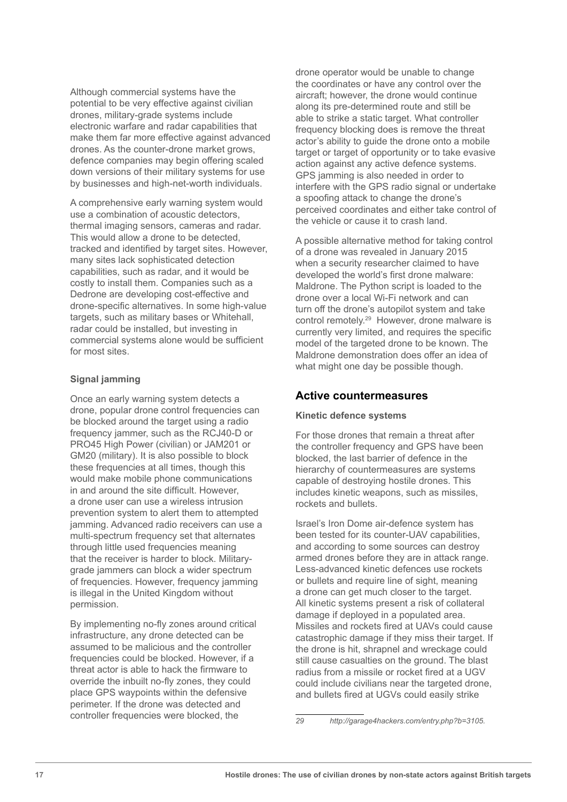Although commercial systems have the potential to be very effective against civilian drones, military-grade systems include electronic warfare and radar capabilities that make them far more effective against advanced drones. As the counter-drone market grows, defence companies may begin offering scaled down versions of their military systems for use by businesses and high-net-worth individuals.

A comprehensive early warning system would use a combination of acoustic detectors, thermal imaging sensors, cameras and radar. This would allow a drone to be detected, tracked and identified by target sites. However, many sites lack sophisticated detection capabilities, such as radar, and it would be costly to install them. Companies such as a Dedrone are developing cost-effective and drone-specific alternatives. In some high-value targets, such as military bases or Whitehall, radar could be installed, but investing in commercial systems alone would be sufficient for most sites.

### **Signal jamming**

Once an early warning system detects a drone, popular drone control frequencies can be blocked around the target using a radio frequency jammer, such as the RCJ40-D or PRO45 High Power (civilian) or JAM201 or GM20 (military). It is also possible to block these frequencies at all times, though this would make mobile phone communications in and around the site difficult. However, a drone user can use a wireless intrusion prevention system to alert them to attempted jamming. Advanced radio receivers can use a multi-spectrum frequency set that alternates through little used frequencies meaning that the receiver is harder to block. Militarygrade jammers can block a wider spectrum of frequencies. However, frequency jamming is illegal in the United Kingdom without permission.

By implementing no-fly zones around critical infrastructure, any drone detected can be assumed to be malicious and the controller frequencies could be blocked. However, if a threat actor is able to hack the firmware to override the inbuilt no-fly zones, they could place GPS waypoints within the defensive perimeter. If the drone was detected and controller frequencies were blocked, the

drone operator would be unable to change the coordinates or have any control over the aircraft; however, the drone would continue along its pre-determined route and still be able to strike a static target. What controller frequency blocking does is remove the threat actor's ability to guide the drone onto a mobile target or target of opportunity or to take evasive action against any active defence systems. GPS jamming is also needed in order to interfere with the GPS radio signal or undertake a spoofing attack to change the drone's perceived coordinates and either take control of the vehicle or cause it to crash land.

A possible alternative method for taking control of a drone was revealed in January 2015 when a security researcher claimed to have developed the world's first drone malware: Maldrone. The Python script is loaded to the drone over a local Wi-Fi network and can turn off the drone's autopilot system and take control remotely.29 However, drone malware is currently very limited, and requires the specific model of the targeted drone to be known. The Maldrone demonstration does offer an idea of what might one day be possible though.

# **Active countermeasures**

#### **Kinetic defence systems**

For those drones that remain a threat after the controller frequency and GPS have been blocked, the last barrier of defence in the hierarchy of countermeasures are systems capable of destroying hostile drones. This includes kinetic weapons, such as missiles, rockets and bullets.

Israel's Iron Dome air-defence system has been tested for its counter-UAV capabilities, and according to some sources can destroy armed drones before they are in attack range. Less-advanced kinetic defences use rockets or bullets and require line of sight, meaning a drone can get much closer to the target. All kinetic systems present a risk of collateral damage if deployed in a populated area. Missiles and rockets fired at UAVs could cause catastrophic damage if they miss their target. If the drone is hit, shrapnel and wreckage could still cause casualties on the ground. The blast radius from a missile or rocket fired at a UGV could include civilians near the targeted drone, and bullets fired at UGVs could easily strike

*<sup>29</sup> http://garage4hackers.com/entry.php?b=3105.*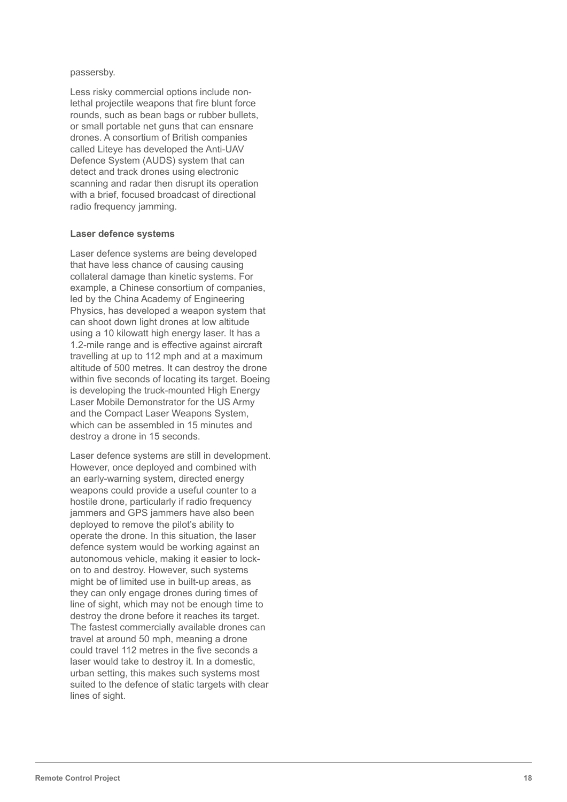#### passersby.

Less risky commercial options include nonlethal projectile weapons that fire blunt force rounds, such as bean bags or rubber bullets, or small portable net guns that can ensnare drones. A consortium of British companies called Liteye has developed the Anti-UAV Defence System (AUDS) system that can detect and track drones using electronic scanning and radar then disrupt its operation with a brief, focused broadcast of directional radio frequency jamming.

#### **Laser defence systems**

Laser defence systems are being developed that have less chance of causing causing collateral damage than kinetic systems. For example, a Chinese consortium of companies, led by the China Academy of Engineering Physics, has developed a weapon system that can shoot down light drones at low altitude using a 10 kilowatt high energy laser. It has a 1.2-mile range and is effective against aircraft travelling at up to 112 mph and at a maximum altitude of 500 metres. It can destroy the drone within five seconds of locating its target. Boeing is developing the truck-mounted High Energy Laser Mobile Demonstrator for the US Army and the Compact Laser Weapons System, which can be assembled in 15 minutes and destroy a drone in 15 seconds.

Laser defence systems are still in development. However, once deployed and combined with an early-warning system, directed energy weapons could provide a useful counter to a hostile drone, particularly if radio frequency jammers and GPS jammers have also been deployed to remove the pilot's ability to operate the drone. In this situation, the laser defence system would be working against an autonomous vehicle, making it easier to lockon to and destroy. However, such systems might be of limited use in built-up areas, as they can only engage drones during times of line of sight, which may not be enough time to destroy the drone before it reaches its target. The fastest commercially available drones can travel at around 50 mph, meaning a drone could travel 112 metres in the five seconds a laser would take to destroy it. In a domestic, urban setting, this makes such systems most suited to the defence of static targets with clear lines of sight.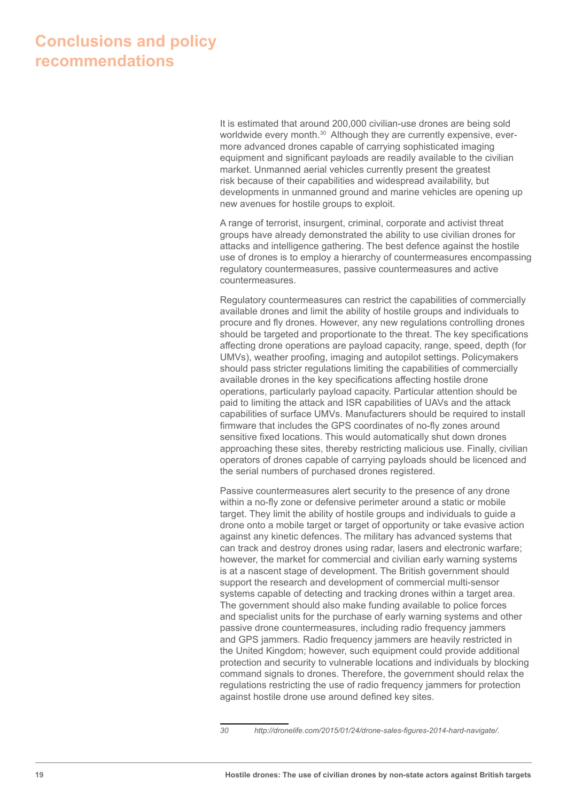# **Conclusions and policy recommendations**

It is estimated that around 200,000 civilian-use drones are being sold worldwide every month.<sup>30</sup> Although they are currently expensive, evermore advanced drones capable of carrying sophisticated imaging equipment and significant payloads are readily available to the civilian market. Unmanned aerial vehicles currently present the greatest risk because of their capabilities and widespread availability, but developments in unmanned ground and marine vehicles are opening up new avenues for hostile groups to exploit.

A range of terrorist, insurgent, criminal, corporate and activist threat groups have already demonstrated the ability to use civilian drones for attacks and intelligence gathering. The best defence against the hostile use of drones is to employ a hierarchy of countermeasures encompassing regulatory countermeasures, passive countermeasures and active countermeasures.

Regulatory countermeasures can restrict the capabilities of commercially available drones and limit the ability of hostile groups and individuals to procure and fly drones. However, any new regulations controlling drones should be targeted and proportionate to the threat. The key specifications affecting drone operations are payload capacity, range, speed, depth (for UMVs), weather proofing, imaging and autopilot settings. Policymakers should pass stricter regulations limiting the capabilities of commercially available drones in the key specifications affecting hostile drone operations, particularly payload capacity. Particular attention should be paid to limiting the attack and ISR capabilities of UAVs and the attack capabilities of surface UMVs. Manufacturers should be required to install firmware that includes the GPS coordinates of no-fly zones around sensitive fixed locations. This would automatically shut down drones approaching these sites, thereby restricting malicious use. Finally, civilian operators of drones capable of carrying payloads should be licenced and the serial numbers of purchased drones registered.

Passive countermeasures alert security to the presence of any drone within a no-fly zone or defensive perimeter around a static or mobile target. They limit the ability of hostile groups and individuals to guide a drone onto a mobile target or target of opportunity or take evasive action against any kinetic defences. The military has advanced systems that can track and destroy drones using radar, lasers and electronic warfare; however, the market for commercial and civilian early warning systems is at a nascent stage of development. The British government should support the research and development of commercial multi-sensor systems capable of detecting and tracking drones within a target area. The government should also make funding available to police forces and specialist units for the purchase of early warning systems and other passive drone countermeasures, including radio frequency jammers and GPS jammers. Radio frequency jammers are heavily restricted in the United Kingdom; however, such equipment could provide additional protection and security to vulnerable locations and individuals by blocking command signals to drones. Therefore, the government should relax the regulations restricting the use of radio frequency jammers for protection against hostile drone use around defined key sites.

*<sup>30</sup> http://dronelife.com/2015/01/24/drone-sales-figures-2014-hard-navigate/.*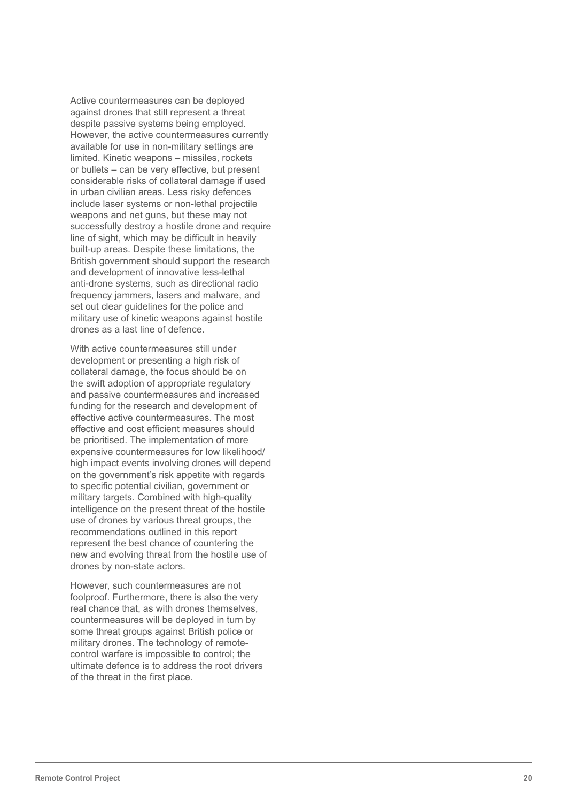Active countermeasures can be deployed against drones that still represent a threat despite passive systems being employed. However, the active countermeasures currently available for use in non-military settings are limited. Kinetic weapons – missiles, rockets or bullets – can be very effective, but present considerable risks of collateral damage if used in urban civilian areas. Less risky defences include laser systems or non-lethal projectile weapons and net guns, but these may not successfully destroy a hostile drone and require line of sight, which may be difficult in heavily built-up areas. Despite these limitations, the British government should support the research and development of innovative less-lethal anti-drone systems, such as directional radio frequency jammers, lasers and malware, and set out clear guidelines for the police and military use of kinetic weapons against hostile drones as a last line of defence.

With active countermeasures still under development or presenting a high risk of collateral damage, the focus should be on the swift adoption of appropriate regulatory and passive countermeasures and increased funding for the research and development of effective active countermeasures. The most effective and cost efficient measures should be prioritised. The implementation of more expensive countermeasures for low likelihood/ high impact events involving drones will depend on the government's risk appetite with regards to specific potential civilian, government or military targets. Combined with high-quality intelligence on the present threat of the hostile use of drones by various threat groups, the recommendations outlined in this report represent the best chance of countering the new and evolving threat from the hostile use of drones by non-state actors.

However, such countermeasures are not foolproof. Furthermore, there is also the very real chance that, as with drones themselves, countermeasures will be deployed in turn by some threat groups against British police or military drones. The technology of remotecontrol warfare is impossible to control; the ultimate defence is to address the root drivers of the threat in the first place.